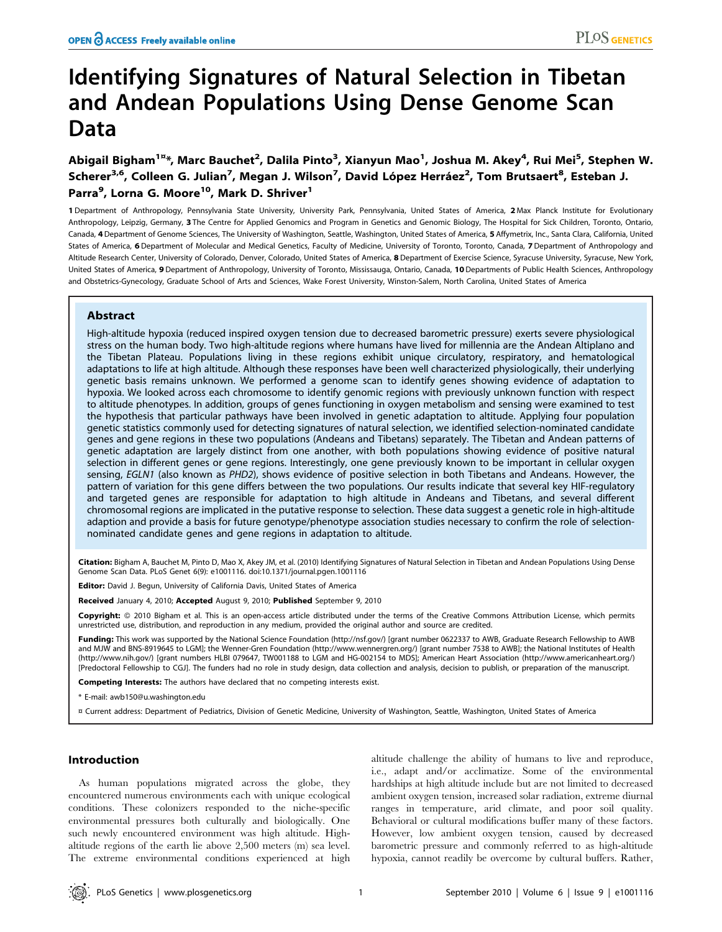# Identifying Signatures of Natural Selection in Tibetan and Andean Populations Using Dense Genome Scan Data

Abigail Bigham<sup>1¤</sup>\*, Marc Bauchet<sup>2</sup>, Dalila Pinto<sup>3</sup>, Xianyun Mao<sup>1</sup>, Joshua M. Akey<sup>4</sup>, Rui Mei<sup>5</sup>, Stephen W. Scherer<sup>3,6</sup>, Colleen G. Julian<sup>7</sup>, Megan J. Wilson<sup>7</sup>, David López Herráez<sup>2</sup>, Tom Brutsaert<sup>8</sup>, Esteban J. Parra<sup>9</sup>, Lorna G. Moore<sup>10</sup>, Mark D. Shriver<sup>1</sup>

1 Department of Anthropology, Pennsylvania State University, University Park, Pennsylvania, United States of America, 2 Max Planck Institute for Evolutionary Anthropology, Leipzig, Germany, 3 The Centre for Applied Genomics and Program in Genetics and Genomic Biology, The Hospital for Sick Children, Toronto, Ontario, Canada, 4 Department of Genome Sciences, The University of Washington, Seattle, Washington, United States of America, 5 Affymetrix, Inc., Santa Clara, California, United States of America, 6 Department of Molecular and Medical Genetics, Faculty of Medicine, University of Toronto, Toronto, Canada, 7 Department of Anthropology and Altitude Research Center, University of Colorado, Denver, Colorado, United States of America, 8 Department of Exercise Science, Syracuse University, Syracuse, New York, United States of America, 9 Department of Anthropology, University of Toronto, Mississauga, Ontario, Canada, 10Departments of Public Health Sciences, Anthropology and Obstetrics-Gynecology, Graduate School of Arts and Sciences, Wake Forest University, Winston-Salem, North Carolina, United States of America

# Abstract

High-altitude hypoxia (reduced inspired oxygen tension due to decreased barometric pressure) exerts severe physiological stress on the human body. Two high-altitude regions where humans have lived for millennia are the Andean Altiplano and the Tibetan Plateau. Populations living in these regions exhibit unique circulatory, respiratory, and hematological adaptations to life at high altitude. Although these responses have been well characterized physiologically, their underlying genetic basis remains unknown. We performed a genome scan to identify genes showing evidence of adaptation to hypoxia. We looked across each chromosome to identify genomic regions with previously unknown function with respect to altitude phenotypes. In addition, groups of genes functioning in oxygen metabolism and sensing were examined to test the hypothesis that particular pathways have been involved in genetic adaptation to altitude. Applying four population genetic statistics commonly used for detecting signatures of natural selection, we identified selection-nominated candidate genes and gene regions in these two populations (Andeans and Tibetans) separately. The Tibetan and Andean patterns of genetic adaptation are largely distinct from one another, with both populations showing evidence of positive natural selection in different genes or gene regions. Interestingly, one gene previously known to be important in cellular oxygen sensing, EGLN1 (also known as PHD2), shows evidence of positive selection in both Tibetans and Andeans. However, the pattern of variation for this gene differs between the two populations. Our results indicate that several key HIF-regulatory and targeted genes are responsible for adaptation to high altitude in Andeans and Tibetans, and several different chromosomal regions are implicated in the putative response to selection. These data suggest a genetic role in high-altitude adaption and provide a basis for future genotype/phenotype association studies necessary to confirm the role of selectionnominated candidate genes and gene regions in adaptation to altitude.

Citation: Bigham A, Bauchet M, Pinto D, Mao X, Akey JM, et al. (2010) Identifying Signatures of Natural Selection in Tibetan and Andean Populations Using Dense Genome Scan Data. PLoS Genet 6(9): e1001116. doi:10.1371/journal.pgen.1001116

Editor: David J. Begun, University of California Davis, United States of America

Received January 4, 2010; Accepted August 9, 2010; Published September 9, 2010

Copyright: © 2010 Bigham et al. This is an open-access article distributed under the terms of the Creative Commons Attribution License, which permits unrestricted use, distribution, and reproduction in any medium, provided the original author and source are credited.

Funding: This work was supported by the National Science Foundation (http://nsf.gov/) [grant number 0622337 to AWB, Graduate Research Fellowship to AWB and MJW and BNS-8919645 to LGM]; the Wenner-Gren Foundation (http://www.wennergren.org/) [grant number 7538 to AWB]; the National Institutes of Health (http://www.nih.gov/) [grant numbers HLBI 079647, TW001188 to LGM and HG-002154 to MDS]; American Heart Association (http://www.americanheart.org/) [Predoctoral Fellowship to CGJ]. The funders had no role in study design, data collection and analysis, decision to publish, or preparation of the manuscript.

Competing Interests: The authors have declared that no competing interests exist.

\* E-mail: awb150@u.washington.edu

¤ Current address: Department of Pediatrics, Division of Genetic Medicine, University of Washington, Seattle, Washington, United States of America

#### Introduction

As human populations migrated across the globe, they encountered numerous environments each with unique ecological conditions. These colonizers responded to the niche-specific environmental pressures both culturally and biologically. One such newly encountered environment was high altitude. Highaltitude regions of the earth lie above 2,500 meters (m) sea level. The extreme environmental conditions experienced at high

altitude challenge the ability of humans to live and reproduce, i.e., adapt and/or acclimatize. Some of the environmental hardships at high altitude include but are not limited to decreased ambient oxygen tension, increased solar radiation, extreme diurnal ranges in temperature, arid climate, and poor soil quality. Behavioral or cultural modifications buffer many of these factors. However, low ambient oxygen tension, caused by decreased barometric pressure and commonly referred to as high-altitude hypoxia, cannot readily be overcome by cultural buffers. Rather,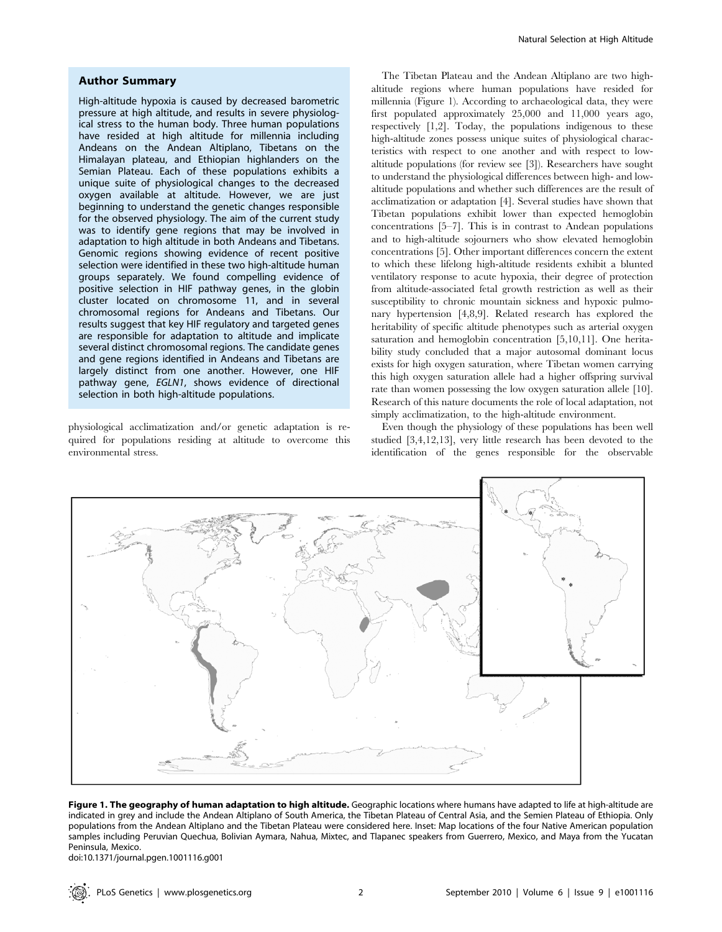# Author Summary

High-altitude hypoxia is caused by decreased barometric pressure at high altitude, and results in severe physiological stress to the human body. Three human populations have resided at high altitude for millennia including Andeans on the Andean Altiplano, Tibetans on the Himalayan plateau, and Ethiopian highlanders on the Semian Plateau. Each of these populations exhibits a unique suite of physiological changes to the decreased oxygen available at altitude. However, we are just beginning to understand the genetic changes responsible for the observed physiology. The aim of the current study was to identify gene regions that may be involved in adaptation to high altitude in both Andeans and Tibetans. Genomic regions showing evidence of recent positive selection were identified in these two high-altitude human groups separately. We found compelling evidence of positive selection in HIF pathway genes, in the globin cluster located on chromosome 11, and in several chromosomal regions for Andeans and Tibetans. Our results suggest that key HIF regulatory and targeted genes are responsible for adaptation to altitude and implicate several distinct chromosomal regions. The candidate genes and gene regions identified in Andeans and Tibetans are largely distinct from one another. However, one HIF pathway gene, EGLN1, shows evidence of directional selection in both high-altitude populations.

physiological acclimatization and/or genetic adaptation is required for populations residing at altitude to overcome this environmental stress.

The Tibetan Plateau and the Andean Altiplano are two highaltitude regions where human populations have resided for millennia (Figure 1). According to archaeological data, they were first populated approximately 25,000 and 11,000 years ago, respectively [1,2]. Today, the populations indigenous to these high-altitude zones possess unique suites of physiological characteristics with respect to one another and with respect to lowaltitude populations (for review see [3]). Researchers have sought to understand the physiological differences between high- and lowaltitude populations and whether such differences are the result of acclimatization or adaptation [4]. Several studies have shown that Tibetan populations exhibit lower than expected hemoglobin concentrations [5–7]. This is in contrast to Andean populations and to high-altitude sojourners who show elevated hemoglobin concentrations [5]. Other important differences concern the extent to which these lifelong high-altitude residents exhibit a blunted ventilatory response to acute hypoxia, their degree of protection from altitude-associated fetal growth restriction as well as their susceptibility to chronic mountain sickness and hypoxic pulmonary hypertension [4,8,9]. Related research has explored the heritability of specific altitude phenotypes such as arterial oxygen saturation and hemoglobin concentration [5,10,11]. One heritability study concluded that a major autosomal dominant locus exists for high oxygen saturation, where Tibetan women carrying this high oxygen saturation allele had a higher offspring survival rate than women possessing the low oxygen saturation allele [10]. Research of this nature documents the role of local adaptation, not simply acclimatization, to the high-altitude environment.

Even though the physiology of these populations has been well studied [3,4,12,13], very little research has been devoted to the identification of the genes responsible for the observable



Figure 1. The geography of human adaptation to high altitude. Geographic locations where humans have adapted to life at high-altitude are indicated in grey and include the Andean Altiplano of South America, the Tibetan Plateau of Central Asia, and the Semien Plateau of Ethiopia. Only populations from the Andean Altiplano and the Tibetan Plateau were considered here. Inset: Map locations of the four Native American population samples including Peruvian Quechua, Bolivian Aymara, Nahua, Mixtec, and Tlapanec speakers from Guerrero, Mexico, and Maya from the Yucatan Peninsula, Mexico.

doi:10.1371/journal.pgen.1001116.g001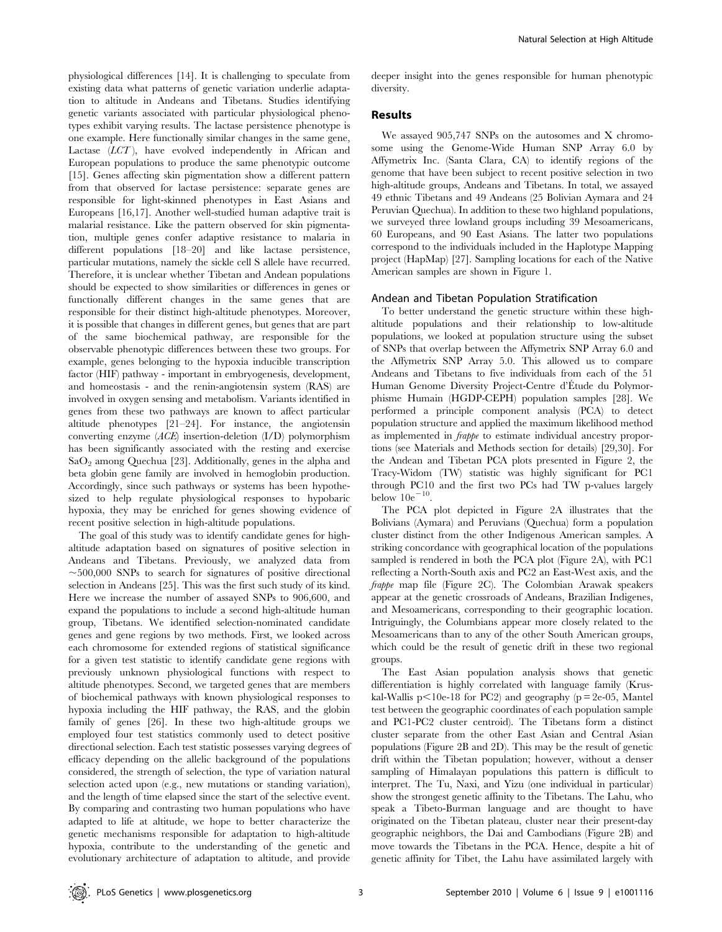physiological differences [14]. It is challenging to speculate from existing data what patterns of genetic variation underlie adaptation to altitude in Andeans and Tibetans. Studies identifying genetic variants associated with particular physiological phenotypes exhibit varying results. The lactase persistence phenotype is one example. Here functionally similar changes in the same gene, Lactase (LCT), have evolved independently in African and European populations to produce the same phenotypic outcome [15]. Genes affecting skin pigmentation show a different pattern from that observed for lactase persistence: separate genes are responsible for light-skinned phenotypes in East Asians and Europeans [16,17]. Another well-studied human adaptive trait is malarial resistance. Like the pattern observed for skin pigmentation, multiple genes confer adaptive resistance to malaria in different populations [18–20] and like lactase persistence, particular mutations, namely the sickle cell S allele have recurred. Therefore, it is unclear whether Tibetan and Andean populations should be expected to show similarities or differences in genes or functionally different changes in the same genes that are responsible for their distinct high-altitude phenotypes. Moreover, it is possible that changes in different genes, but genes that are part of the same biochemical pathway, are responsible for the observable phenotypic differences between these two groups. For example, genes belonging to the hypoxia inducible transcription factor (HIF) pathway - important in embryogenesis, development, and homeostasis - and the renin-angiotensin system (RAS) are involved in oxygen sensing and metabolism. Variants identified in genes from these two pathways are known to affect particular altitude phenotypes [21–24]. For instance, the angiotensin converting enzyme (ACE) insertion-deletion (I/D) polymorphism has been significantly associated with the resting and exercise  $SaO<sub>2</sub>$  among Quechua [23]. Additionally, genes in the alpha and beta globin gene family are involved in hemoglobin production. Accordingly, since such pathways or systems has been hypothesized to help regulate physiological responses to hypobaric hypoxia, they may be enriched for genes showing evidence of recent positive selection in high-altitude populations.

The goal of this study was to identify candidate genes for highaltitude adaptation based on signatures of positive selection in Andeans and Tibetans. Previously, we analyzed data from  $\sim$ 500,000 SNPs to search for signatures of positive directional selection in Andeans [25]. This was the first such study of its kind. Here we increase the number of assayed SNPs to 906,600, and expand the populations to include a second high-altitude human group, Tibetans. We identified selection-nominated candidate genes and gene regions by two methods. First, we looked across each chromosome for extended regions of statistical significance for a given test statistic to identify candidate gene regions with previously unknown physiological functions with respect to altitude phenotypes. Second, we targeted genes that are members of biochemical pathways with known physiological responses to hypoxia including the HIF pathway, the RAS, and the globin family of genes [26]. In these two high-altitude groups we employed four test statistics commonly used to detect positive directional selection. Each test statistic possesses varying degrees of efficacy depending on the allelic background of the populations considered, the strength of selection, the type of variation natural selection acted upon (e.g., new mutations or standing variation), and the length of time elapsed since the start of the selective event. By comparing and contrasting two human populations who have adapted to life at altitude, we hope to better characterize the genetic mechanisms responsible for adaptation to high-altitude hypoxia, contribute to the understanding of the genetic and evolutionary architecture of adaptation to altitude, and provide

deeper insight into the genes responsible for human phenotypic diversity.

## Results

We assayed 905,747 SNPs on the autosomes and X chromosome using the Genome-Wide Human SNP Array 6.0 by Affymetrix Inc. (Santa Clara, CA) to identify regions of the genome that have been subject to recent positive selection in two high-altitude groups, Andeans and Tibetans. In total, we assayed 49 ethnic Tibetans and 49 Andeans (25 Bolivian Aymara and 24 Peruvian Quechua). In addition to these two highland populations, we surveyed three lowland groups including 39 Mesoamericans, 60 Europeans, and 90 East Asians. The latter two populations correspond to the individuals included in the Haplotype Mapping project (HapMap) [27]. Sampling locations for each of the Native American samples are shown in Figure 1.

#### Andean and Tibetan Population Stratification

To better understand the genetic structure within these highaltitude populations and their relationship to low-altitude populations, we looked at population structure using the subset of SNPs that overlap between the Affymetrix SNP Array 6.0 and the Affymetrix SNP Array 5.0. This allowed us to compare Andeans and Tibetans to five individuals from each of the 51 Human Genome Diversity Project-Centre d'Etude du Polymorphisme Humain (HGDP-CEPH) population samples [28]. We performed a principle component analysis (PCA) to detect population structure and applied the maximum likelihood method as implemented in frappe to estimate individual ancestry proportions (see Materials and Methods section for details) [29,30]. For the Andean and Tibetan PCA plots presented in Figure 2, the Tracy-Widom (TW) statistic was highly significant for PC1 through PC10 and the first two PCs had TW p-values largely below  $10e^{-10}$ .

The PCA plot depicted in Figure 2A illustrates that the Bolivians (Aymara) and Peruvians (Quechua) form a population cluster distinct from the other Indigenous American samples. A striking concordance with geographical location of the populations sampled is rendered in both the PCA plot (Figure 2A), with PC1 reflecting a North-South axis and PC2 an East-West axis, and the frappe map file (Figure 2C). The Colombian Arawak speakers appear at the genetic crossroads of Andeans, Brazilian Indigenes, and Mesoamericans, corresponding to their geographic location. Intriguingly, the Columbians appear more closely related to the Mesoamericans than to any of the other South American groups, which could be the result of genetic drift in these two regional groups.

The East Asian population analysis shows that genetic differentiation is highly correlated with language family (Kruskal-Wallis p $\leq$ 10e-18 for PC2) and geography (p = 2e-05, Mantel test between the geographic coordinates of each population sample and PC1-PC2 cluster centroid). The Tibetans form a distinct cluster separate from the other East Asian and Central Asian populations (Figure 2B and 2D). This may be the result of genetic drift within the Tibetan population; however, without a denser sampling of Himalayan populations this pattern is difficult to interpret. The Tu, Naxi, and Yizu (one individual in particular) show the strongest genetic affinity to the Tibetans. The Lahu, who speak a Tibeto-Burman language and are thought to have originated on the Tibetan plateau, cluster near their present-day geographic neighbors, the Dai and Cambodians (Figure 2B) and move towards the Tibetans in the PCA. Hence, despite a hit of genetic affinity for Tibet, the Lahu have assimilated largely with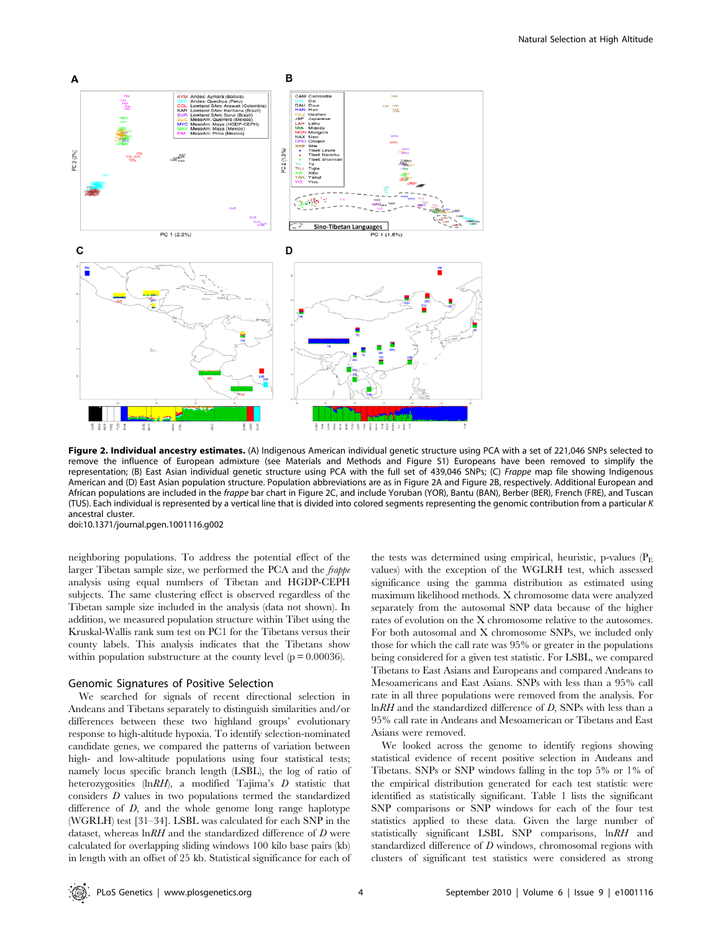

Figure 2. Individual ancestry estimates. (A) Indigenous American individual genetic structure using PCA with a set of 221,046 SNPs selected to remove the influence of European admixture (see Materials and Methods and Figure S1) Europeans have been removed to simplify the representation; (B) East Asian individual genetic structure using PCA with the full set of 439,046 SNPs; (C) Frappe map file showing Indigenous American and (D) East Asian population structure. Population abbreviations are as in Figure 2A and Figure 2B, respectively. Additional European and African populations are included in the *frappe bar chart in Figure 2C*, and include Yoruban (YOR), Bantu (BAN), Berber (BER), French (FRE), and Tuscan (TUS). Each individual is represented by a vertical line that is divided into colored segments representing the genomic contribution from a particular K ancestral cluster.

doi:10.1371/journal.pgen.1001116.g002

neighboring populations. To address the potential effect of the larger Tibetan sample size, we performed the PCA and the frappe analysis using equal numbers of Tibetan and HGDP-CEPH subjects. The same clustering effect is observed regardless of the Tibetan sample size included in the analysis (data not shown). In addition, we measured population structure within Tibet using the Kruskal-Wallis rank sum test on PC1 for the Tibetans versus their county labels. This analysis indicates that the Tibetans show within population substructure at the county level  $(p = 0.00036)$ .

# Genomic Signatures of Positive Selection

We searched for signals of recent directional selection in Andeans and Tibetans separately to distinguish similarities and/or differences between these two highland groups' evolutionary response to high-altitude hypoxia. To identify selection-nominated candidate genes, we compared the patterns of variation between high- and low-altitude populations using four statistical tests; namely locus specific branch length (LSBL), the log of ratio of heterozygosities (lnRH), a modified Tajima's D statistic that considers D values in two populations termed the standardized difference of *D*, and the whole genome long range haplotype (WGRLH) test [31–34]. LSBL was calculated for each SNP in the dataset, whereas  $\ln RH$  and the standardized difference of  $D$  were calculated for overlapping sliding windows 100 kilo base pairs (kb) in length with an offset of 25 kb. Statistical significance for each of

the tests was determined using empirical, heuristic, p-values  $(P<sub>E</sub>)$ values) with the exception of the WGLRH test, which assessed significance using the gamma distribution as estimated using maximum likelihood methods. X chromosome data were analyzed separately from the autosomal SNP data because of the higher rates of evolution on the X chromosome relative to the autosomes. For both autosomal and X chromosome SNPs, we included only those for which the call rate was 95% or greater in the populations being considered for a given test statistic. For LSBL, we compared Tibetans to East Asians and Europeans and compared Andeans to Mesoamericans and East Asians. SNPs with less than a 95% call rate in all three populations were removed from the analysis. For lnRH and the standardized difference of D, SNPs with less than a 95% call rate in Andeans and Mesoamerican or Tibetans and East Asians were removed.

We looked across the genome to identify regions showing statistical evidence of recent positive selection in Andeans and Tibetans. SNPs or SNP windows falling in the top 5% or 1% of the empirical distribution generated for each test statistic were identified as statistically significant. Table 1 lists the significant SNP comparisons or SNP windows for each of the four test statistics applied to these data. Given the large number of statistically significant LSBL SNP comparisons, lnRH and standardized difference of D windows, chromosomal regions with clusters of significant test statistics were considered as strong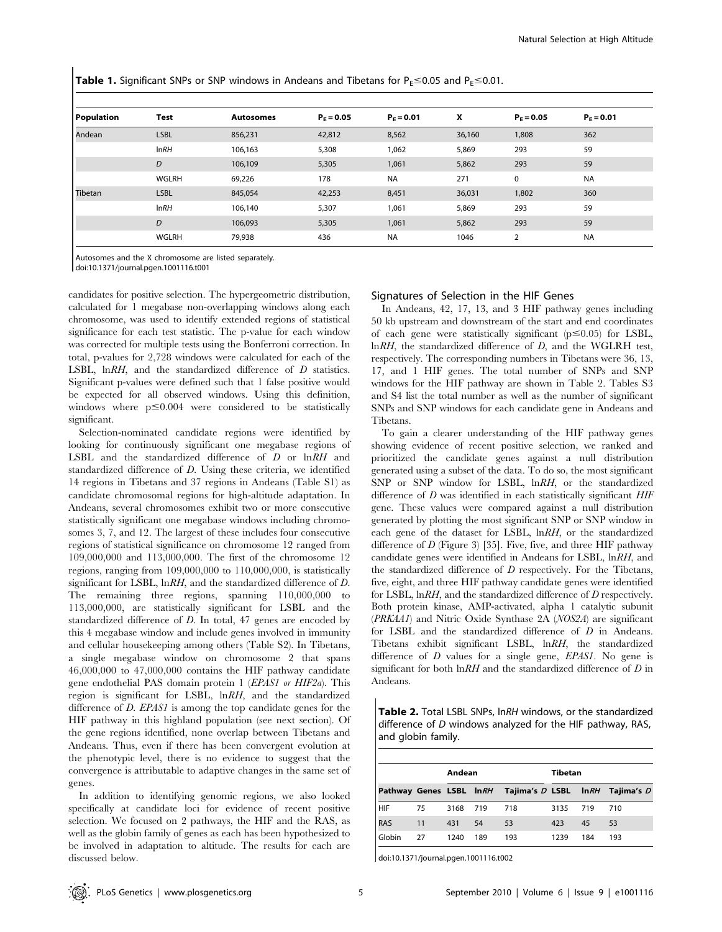**Table 1.** Significant SNPs or SNP windows in Andeans and Tibetans for  $P_F \le 0.05$  and  $P_F \le 0.01$ .

| Population     | <b>Test</b> | <b>Autosomes</b> | $P_F = 0.05$ | $P_F = 0.01$ | X      | $P_F = 0.05$   | $P_F = 0.01$ |
|----------------|-------------|------------------|--------------|--------------|--------|----------------|--------------|
| Andean         | <b>LSBL</b> | 856,231          | 42,812       | 8,562        | 36,160 | 1,808          | 362          |
|                | InRH        | 106,163          | 5,308        | 1,062        | 5,869  | 293            | 59           |
|                | D           | 106,109          | 5,305        | 1,061        | 5,862  | 293            | 59           |
|                | WGLRH       | 69,226           | 178          | <b>NA</b>    | 271    | 0              | <b>NA</b>    |
| <b>Tibetan</b> | <b>LSBL</b> | 845,054          | 42,253       | 8,451        | 36,031 | 1,802          | 360          |
|                | InRH        | 106,140          | 5,307        | 1,061        | 5,869  | 293            | 59           |
|                | D           | 106,093          | 5,305        | 1,061        | 5,862  | 293            | 59           |
|                | WGLRH       | 79,938           | 436          | <b>NA</b>    | 1046   | $\overline{2}$ | <b>NA</b>    |

Autosomes and the X chromosome are listed separately.

doi:10.1371/journal.pgen.1001116.t001

candidates for positive selection. The hypergeometric distribution, calculated for 1 megabase non-overlapping windows along each chromosome, was used to identify extended regions of statistical significance for each test statistic. The p-value for each window was corrected for multiple tests using the Bonferroni correction. In total, p-values for 2,728 windows were calculated for each of the LSBL, lnRH, and the standardized difference of D statistics. Significant p-values were defined such that 1 false positive would be expected for all observed windows. Using this definition, windows where  $p \leq 0.004$  were considered to be statistically significant.

Selection-nominated candidate regions were identified by looking for continuously significant one megabase regions of LSBL and the standardized difference of D or lnRH and standardized difference of D. Using these criteria, we identified 14 regions in Tibetans and 37 regions in Andeans (Table S1) as candidate chromosomal regions for high-altitude adaptation. In Andeans, several chromosomes exhibit two or more consecutive statistically significant one megabase windows including chromosomes 3, 7, and 12. The largest of these includes four consecutive regions of statistical significance on chromosome 12 ranged from 109,000,000 and 113,000,000. The first of the chromosome 12 regions, ranging from 109,000,000 to 110,000,000, is statistically significant for LSBL, lnRH, and the standardized difference of D. The remaining three regions, spanning 110,000,000 to 113,000,000, are statistically significant for LSBL and the standardized difference of D. In total, 47 genes are encoded by this 4 megabase window and include genes involved in immunity and cellular housekeeping among others (Table S2). In Tibetans, a single megabase window on chromosome 2 that spans 46,000,000 to 47,000,000 contains the HIF pathway candidate gene endothelial PAS domain protein 1 (EPAS1 or HIF2a). This region is significant for LSBL, lnRH, and the standardized difference of *D. EPAS1* is among the top candidate genes for the HIF pathway in this highland population (see next section). Of the gene regions identified, none overlap between Tibetans and Andeans. Thus, even if there has been convergent evolution at the phenotypic level, there is no evidence to suggest that the convergence is attributable to adaptive changes in the same set of genes.

In addition to identifying genomic regions, we also looked specifically at candidate loci for evidence of recent positive selection. We focused on 2 pathways, the HIF and the RAS, as well as the globin family of genes as each has been hypothesized to be involved in adaptation to altitude. The results for each are discussed below.

## Signatures of Selection in the HIF Genes

In Andeans, 42, 17, 13, and 3 HIF pathway genes including 50 kb upstream and downstream of the start and end coordinates of each gene were statistically significant ( $p \le 0.05$ ) for LSBL, lnRH, the standardized difference of D, and the WGLRH test, respectively. The corresponding numbers in Tibetans were 36, 13, 17, and 1 HIF genes. The total number of SNPs and SNP windows for the HIF pathway are shown in Table 2. Tables S3 and S4 list the total number as well as the number of significant SNPs and SNP windows for each candidate gene in Andeans and Tibetans.

To gain a clearer understanding of the HIF pathway genes showing evidence of recent positive selection, we ranked and prioritized the candidate genes against a null distribution generated using a subset of the data. To do so, the most significant SNP or SNP window for LSBL,  $lnRH$ , or the standardized difference of  $D$  was identified in each statistically significant  $HIF$ gene. These values were compared against a null distribution generated by plotting the most significant SNP or SNP window in each gene of the dataset for LSBL, lnRH, or the standardized difference of  $D$  (Figure 3) [35]. Five, five, and three HIF pathway candidate genes were identified in Andeans for LSBL, lnRH, and the standardized difference of  $D$  respectively. For the Tibetans, five, eight, and three HIF pathway candidate genes were identified for LSBL, lnRH, and the standardized difference of D respectively. Both protein kinase, AMP-activated, alpha 1 catalytic subunit (PRKAA1) and Nitric Oxide Synthase 2A (NOS2A) are significant for LSBL and the standardized difference of D in Andeans. Tibetans exhibit significant LSBL, lnRH, the standardized difference of  $D$  values for a single gene,  $EPASI$ . No gene is significant for both  $\ln RH$  and the standardized difference of D in Andeans.

Table 2. Total LSBL SNPs, lnRH windows, or the standardized difference of D windows analyzed for the HIF pathway, RAS, and globin family.

|        |    | Andean |     |                                                           | Tibetan |     |     |  |
|--------|----|--------|-----|-----------------------------------------------------------|---------|-----|-----|--|
|        |    |        |     | Pathway Genes LSBL In RH Tajima's D LSBL In RH Tajima's D |         |     |     |  |
| HIF    | 75 | 3168   | 719 | 718                                                       | 3135    | 719 | 710 |  |
| RAS    | 11 | 431    | 54  | 53                                                        | 423     | 45  | 53  |  |
| Globin | 27 | 1240   | 189 | 193                                                       | 1239    | 184 | 193 |  |

doi:10.1371/journal.pgen.1001116.t002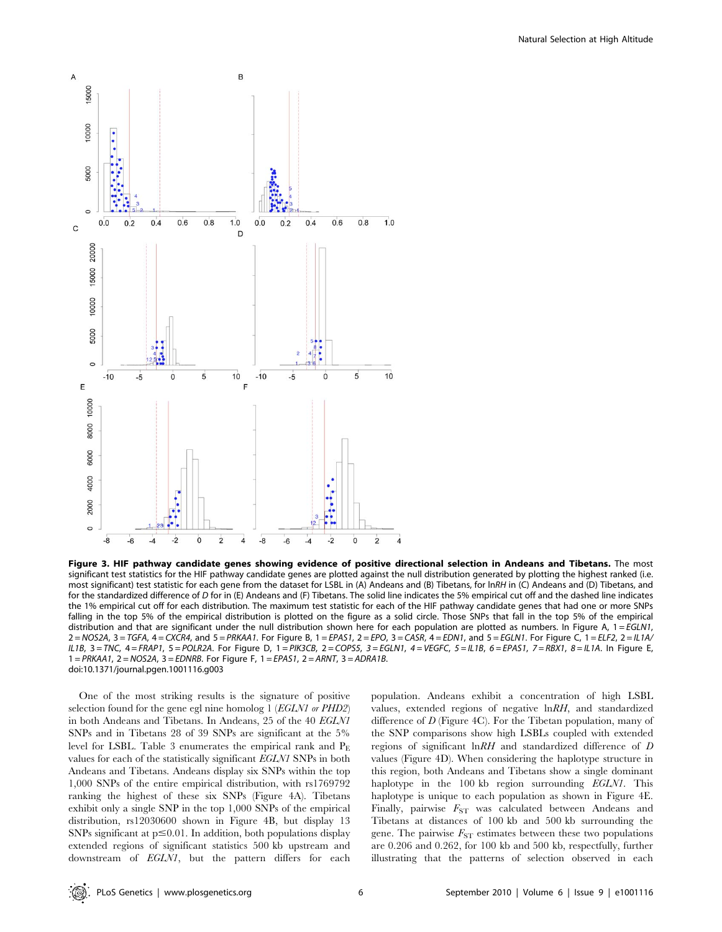

Figure 3. HIF pathway candidate genes showing evidence of positive directional selection in Andeans and Tibetans. The most significant test statistics for the HIF pathway candidate genes are plotted against the null distribution generated by plotting the highest ranked (i.e. most significant) test statistic for each gene from the dataset for LSBL in (A) Andeans and (B) Tibetans, for lnRH in (C) Andeans and (D) Tibetans, and for the standardized difference of D for in (E) Andeans and (F) Tibetans. The solid line indicates the 5% empirical cut off and the dashed line indicates the 1% empirical cut off for each distribution. The maximum test statistic for each of the HIF pathway candidate genes that had one or more SNPs falling in the top 5% of the empirical distribution is plotted on the figure as a solid circle. Those SNPs that fall in the top 5% of the empirical distribution and that are significant under the null distribution shown here for each population are plotted as numbers. In Figure A,  $1 = EGLN1$ , 2 = NOS2A, 3 = TGFA, 4 = CXCR4, and 5 = PRKAA1. For Figure B, 1 = EPAS1, 2 = EPO, 3 = CASR, 4 = EDN1, and 5 = EGLN1. For Figure C, 1 = ELF2, 2 = IL1A/  $IL1B$ ,  $3 = TNC$ ,  $4 = FRAP1$ ,  $5 = POLR2A$ . For Figure D,  $1 = PIK3CB$ ,  $2 = COPS5$ ,  $3 = EGLN1$ ,  $4 = VEGFC$ ,  $5 = IL1B$ ,  $6 = EPAS1$ ,  $7 = RBX1$ ,  $8 = IL1A$ . In Figure E,  $1 = PRKAA1$ ,  $2 = NOS2A$ ,  $3 = EDNRB$ . For Figure F,  $1 = EPAS1$ ,  $2 = ARNT$ ,  $3 = ADRA1B$ . doi:10.1371/journal.pgen.1001116.g003

One of the most striking results is the signature of positive selection found for the gene egl nine homolog 1 (EGLN1 or PHD2) in both Andeans and Tibetans. In Andeans, 25 of the 40 EGLN1 SNPs and in Tibetans 28 of 39 SNPs are significant at the 5% level for LSBL. Table 3 enumerates the empirical rank and  $P_E$ values for each of the statistically significant EGLN1 SNPs in both Andeans and Tibetans. Andeans display six SNPs within the top 1,000 SNPs of the entire empirical distribution, with rs1769792 ranking the highest of these six SNPs (Figure 4A). Tibetans exhibit only a single SNP in the top 1,000 SNPs of the empirical distribution, rs12030600 shown in Figure 4B, but display 13 SNPs significant at  $p \le 0.01$ . In addition, both populations display extended regions of significant statistics 500 kb upstream and downstream of EGLN1, but the pattern differs for each population. Andeans exhibit a concentration of high LSBL values, extended regions of negative lnRH, and standardized difference of D (Figure 4C). For the Tibetan population, many of the SNP comparisons show high LSBLs coupled with extended regions of significant lnRH and standardized difference of D values (Figure 4D). When considering the haplotype structure in this region, both Andeans and Tibetans show a single dominant haplotype in the 100 kb region surrounding EGLN1. This haplotype is unique to each population as shown in Figure 4E. Finally, pairwise  $F_{ST}$  was calculated between Andeans and Tibetans at distances of 100 kb and 500 kb surrounding the gene. The pairwise  $F_{ST}$  estimates between these two populations are 0.206 and 0.262, for 100 kb and 500 kb, respectfully, further illustrating that the patterns of selection observed in each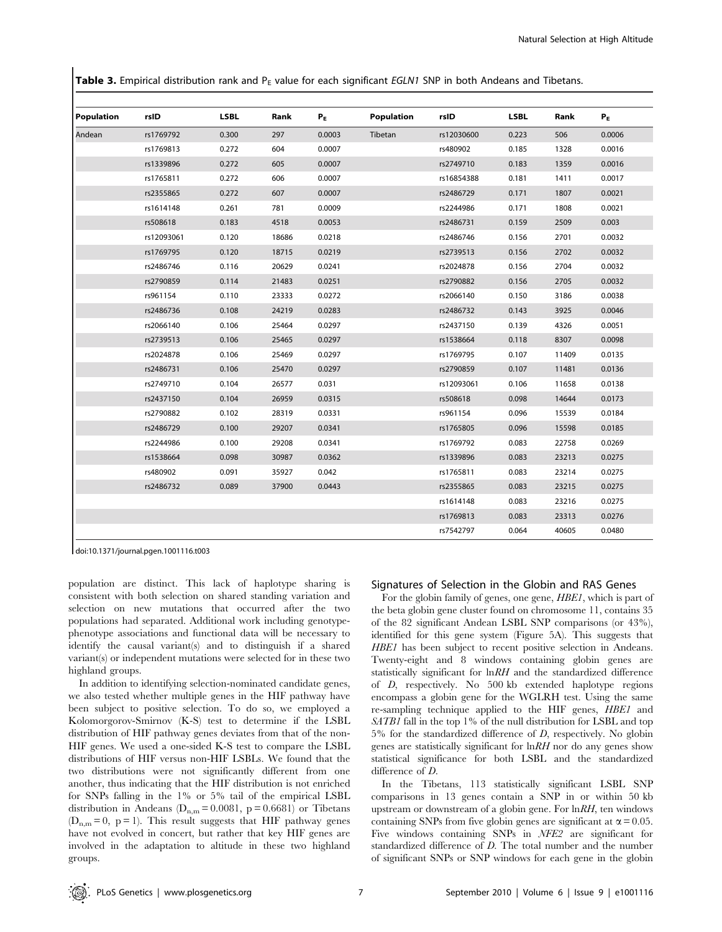Table 3. Empirical distribution rank and  $P_E$  value for each significant EGLN1 SNP in both Andeans and Tibetans.

| Population | rsID       | <b>LSBL</b> | Rank  | $P_E$  | Population | rsID       | <b>LSBL</b> | Rank  | $P_E$  |
|------------|------------|-------------|-------|--------|------------|------------|-------------|-------|--------|
| Andean     | rs1769792  | 0.300       | 297   | 0.0003 | Tibetan    | rs12030600 | 0.223       | 506   | 0.0006 |
|            | rs1769813  | 0.272       | 604   | 0.0007 |            | rs480902   | 0.185       | 1328  | 0.0016 |
|            | rs1339896  | 0.272       | 605   | 0.0007 |            | rs2749710  | 0.183       | 1359  | 0.0016 |
|            | rs1765811  | 0.272       | 606   | 0.0007 |            | rs16854388 | 0.181       | 1411  | 0.0017 |
|            | rs2355865  | 0.272       | 607   | 0.0007 |            | rs2486729  | 0.171       | 1807  | 0.0021 |
|            | rs1614148  | 0.261       | 781   | 0.0009 |            | rs2244986  | 0.171       | 1808  | 0.0021 |
|            | rs508618   | 0.183       | 4518  | 0.0053 |            | rs2486731  | 0.159       | 2509  | 0.003  |
|            | rs12093061 | 0.120       | 18686 | 0.0218 |            | rs2486746  | 0.156       | 2701  | 0.0032 |
|            | rs1769795  | 0.120       | 18715 | 0.0219 |            | rs2739513  | 0.156       | 2702  | 0.0032 |
|            | rs2486746  | 0.116       | 20629 | 0.0241 |            | rs2024878  | 0.156       | 2704  | 0.0032 |
|            | rs2790859  | 0.114       | 21483 | 0.0251 |            | rs2790882  | 0.156       | 2705  | 0.0032 |
|            | rs961154   | 0.110       | 23333 | 0.0272 |            | rs2066140  | 0.150       | 3186  | 0.0038 |
|            | rs2486736  | 0.108       | 24219 | 0.0283 |            | rs2486732  | 0.143       | 3925  | 0.0046 |
|            | rs2066140  | 0.106       | 25464 | 0.0297 |            | rs2437150  | 0.139       | 4326  | 0.0051 |
|            | rs2739513  | 0.106       | 25465 | 0.0297 |            | rs1538664  | 0.118       | 8307  | 0.0098 |
|            | rs2024878  | 0.106       | 25469 | 0.0297 |            | rs1769795  | 0.107       | 11409 | 0.0135 |
|            | rs2486731  | 0.106       | 25470 | 0.0297 |            | rs2790859  | 0.107       | 11481 | 0.0136 |
|            | rs2749710  | 0.104       | 26577 | 0.031  |            | rs12093061 | 0.106       | 11658 | 0.0138 |
|            | rs2437150  | 0.104       | 26959 | 0.0315 |            | rs508618   | 0.098       | 14644 | 0.0173 |
|            | rs2790882  | 0.102       | 28319 | 0.0331 |            | rs961154   | 0.096       | 15539 | 0.0184 |
|            | rs2486729  | 0.100       | 29207 | 0.0341 |            | rs1765805  | 0.096       | 15598 | 0.0185 |
|            | rs2244986  | 0.100       | 29208 | 0.0341 |            | rs1769792  | 0.083       | 22758 | 0.0269 |
|            | rs1538664  | 0.098       | 30987 | 0.0362 |            | rs1339896  | 0.083       | 23213 | 0.0275 |
|            | rs480902   | 0.091       | 35927 | 0.042  |            | rs1765811  | 0.083       | 23214 | 0.0275 |
|            | rs2486732  | 0.089       | 37900 | 0.0443 |            | rs2355865  | 0.083       | 23215 | 0.0275 |
|            |            |             |       |        |            | rs1614148  | 0.083       | 23216 | 0.0275 |
|            |            |             |       |        |            | rs1769813  | 0.083       | 23313 | 0.0276 |
|            |            |             |       |        |            | rs7542797  | 0.064       | 40605 | 0.0480 |

doi:10.1371/journal.pgen.1001116.t003

population are distinct. This lack of haplotype sharing is consistent with both selection on shared standing variation and selection on new mutations that occurred after the two populations had separated. Additional work including genotypephenotype associations and functional data will be necessary to identify the causal variant(s) and to distinguish if a shared variant(s) or independent mutations were selected for in these two highland groups.

In addition to identifying selection-nominated candidate genes, we also tested whether multiple genes in the HIF pathway have been subject to positive selection. To do so, we employed a Kolomorgorov-Smirnov (K-S) test to determine if the LSBL distribution of HIF pathway genes deviates from that of the non-HIF genes. We used a one-sided K-S test to compare the LSBL distributions of HIF versus non-HIF LSBLs. We found that the two distributions were not significantly different from one another, thus indicating that the HIF distribution is not enriched for SNPs falling in the 1% or 5% tail of the empirical LSBL distribution in Andeans ( $D_{n,m} = 0.0081$ , p = 0.6681) or Tibetans  $(D_{n,m} = 0, p = 1)$ . This result suggests that HIF pathway genes have not evolved in concert, but rather that key HIF genes are involved in the adaptation to altitude in these two highland groups.

## Signatures of Selection in the Globin and RAS Genes

For the globin family of genes, one gene, HBE1, which is part of the beta globin gene cluster found on chromosome 11, contains 35 of the 82 significant Andean LSBL SNP comparisons (or 43%), identified for this gene system (Figure 5A). This suggests that HBE1 has been subject to recent positive selection in Andeans. Twenty-eight and 8 windows containing globin genes are statistically significant for lnRH and the standardized difference of D, respectively. No 500 kb extended haplotype regions encompass a globin gene for the WGLRH test. Using the same re-sampling technique applied to the HIF genes, HBE1 and SATB1 fall in the top 1% of the null distribution for LSBL and top  $5\%$  for the standardized difference of D, respectively. No globin genes are statistically significant for  $\ln RH$  nor do any genes show statistical significance for both LSBL and the standardized difference of  $D$ .

In the Tibetans, 113 statistically significant LSBL SNP comparisons in 13 genes contain a SNP in or within 50 kb upstream or downstream of a globin gene. For lnRH, ten windows containing SNPs from five globin genes are significant at  $\alpha = 0.05$ . Five windows containing SNPs in  $NFE2$  are significant for standardized difference of D. The total number and the number of significant SNPs or SNP windows for each gene in the globin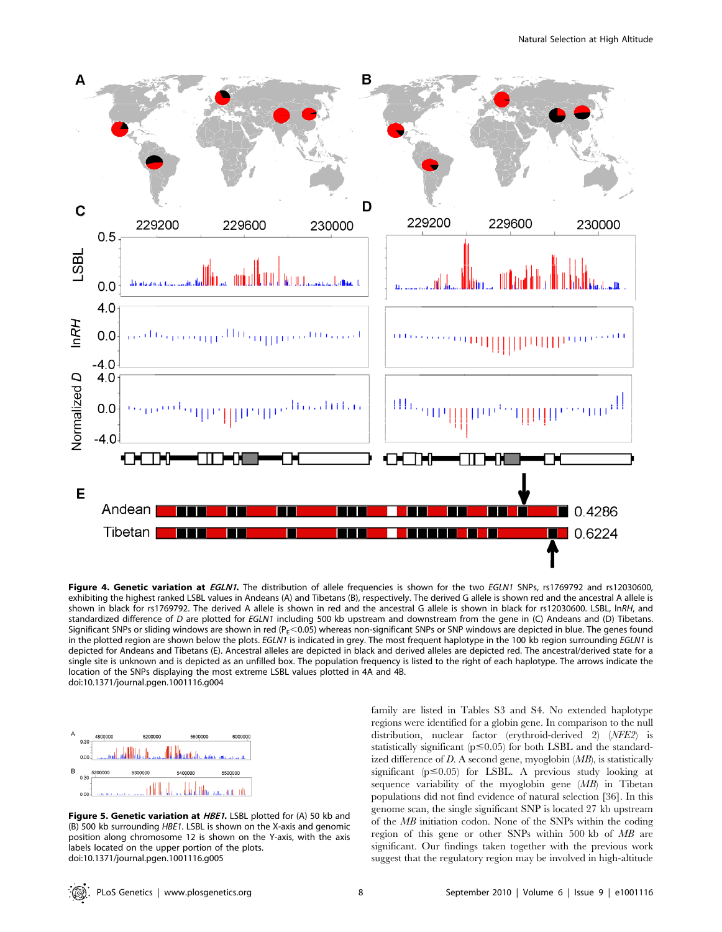

Figure 4. Genetic variation at EGLN1. The distribution of allele frequencies is shown for the two EGLN1 SNPs, rs1769792 and rs12030600, exhibiting the highest ranked LSBL values in Andeans (A) and Tibetans (B), respectively. The derived G allele is shown red and the ancestral A allele is shown in black for rs1769792. The derived A allele is shown in red and the ancestral G allele is shown in black for rs12030600. LSBL, lnRH, and standardized difference of D are plotted for EGLN1 including 500 kb upstream and downstream from the gene in (C) Andeans and (D) Tibetans. Significant SNPs or sliding windows are shown in red (P $_{E}$ <0.05) whereas non-significant SNPs or SNP windows are depicted in blue. The genes found in the plotted region are shown below the plots. EGLN1 is indicated in grey. The most frequent haplotype in the 100 kb region surrounding EGLN1 is depicted for Andeans and Tibetans (E). Ancestral alleles are depicted in black and derived alleles are depicted red. The ancestral/derived state for a single site is unknown and is depicted as an unfilled box. The population frequency is listed to the right of each haplotype. The arrows indicate the location of the SNPs displaying the most extreme LSBL values plotted in 4A and 4B. doi:10.1371/journal.pgen.1001116.g004



Figure 5. Genetic variation at HBE1. LSBL plotted for (A) 50 kb and (B) 500 kb surrounding HBE1. LSBL is shown on the X-axis and genomic position along chromosome 12 is shown on the Y-axis, with the axis labels located on the upper portion of the plots. doi:10.1371/journal.pgen.1001116.g005

family are listed in Tables S3 and S4. No extended haplotype regions were identified for a globin gene. In comparison to the null distribution, nuclear factor (erythroid-derived 2) (NFE2) is statistically significant ( $p \le 0.05$ ) for both LSBL and the standardized difference of  $D$ . A second gene, myoglobin  $(MB)$ , is statistically significant ( $p \le 0.05$ ) for LSBL. A previous study looking at sequence variability of the myoglobin gene (MB) in Tibetan populations did not find evidence of natural selection [36]. In this genome scan, the single significant SNP is located 27 kb upstream of the MB initiation codon. None of the SNPs within the coding region of this gene or other SNPs within 500 kb of MB are significant. Our findings taken together with the previous work suggest that the regulatory region may be involved in high-altitude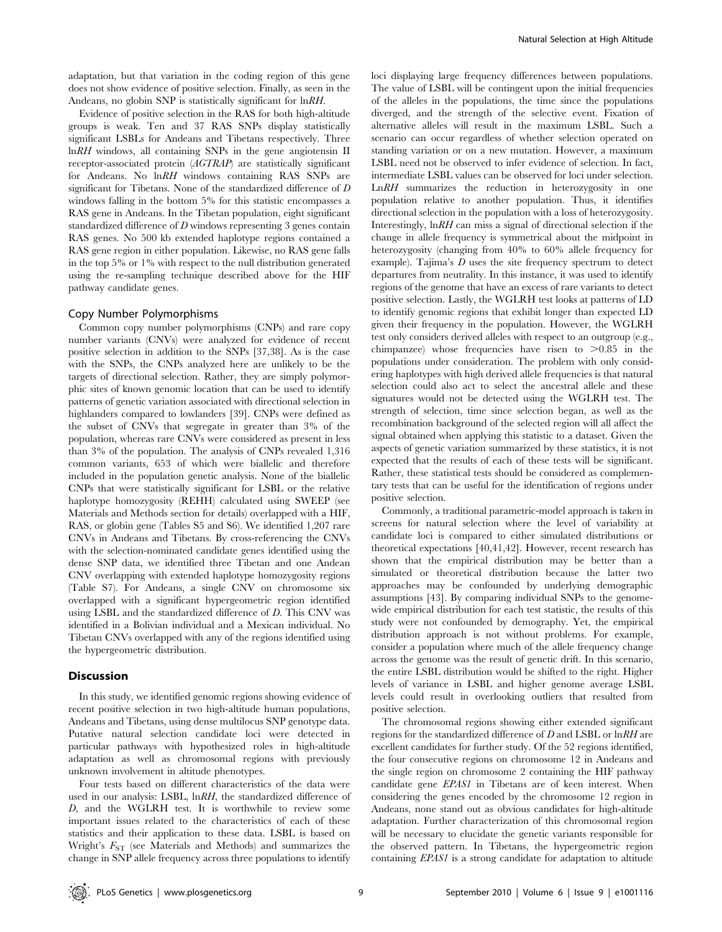adaptation, but that variation in the coding region of this gene does not show evidence of positive selection. Finally, as seen in the Andeans, no globin SNP is statistically significant for lnRH.

Evidence of positive selection in the RAS for both high-altitude groups is weak. Ten and 37 RAS SNPs display statistically significant LSBLs for Andeans and Tibetans respectively. Three lnRH windows, all containing SNPs in the gene angiotensin II receptor-associated protein (AGTRAP) are statistically significant for Andeans. No lnRH windows containing RAS SNPs are significant for Tibetans. None of the standardized difference of D windows falling in the bottom 5% for this statistic encompasses a RAS gene in Andeans. In the Tibetan population, eight significant standardized difference of D windows representing 3 genes contain RAS genes. No 500 kb extended haplotype regions contained a RAS gene region in either population. Likewise, no RAS gene falls in the top 5% or 1% with respect to the null distribution generated using the re-sampling technique described above for the HIF pathway candidate genes.

### Copy Number Polymorphisms

Common copy number polymorphisms (CNPs) and rare copy number variants (CNVs) were analyzed for evidence of recent positive selection in addition to the SNPs [37,38]. As is the case with the SNPs, the CNPs analyzed here are unlikely to be the targets of directional selection. Rather, they are simply polymorphic sites of known genomic location that can be used to identify patterns of genetic variation associated with directional selection in highlanders compared to lowlanders [39]. CNPs were defined as the subset of CNVs that segregate in greater than 3% of the population, whereas rare CNVs were considered as present in less than 3% of the population. The analysis of CNPs revealed 1,316 common variants, 653 of which were biallelic and therefore included in the population genetic analysis. None of the biallelic CNPs that were statistically significant for LSBL or the relative haplotype homozygosity (REHH) calculated using SWEEP (see Materials and Methods section for details) overlapped with a HIF, RAS, or globin gene (Tables S5 and S6). We identified 1,207 rare CNVs in Andeans and Tibetans. By cross-referencing the CNVs with the selection-nominated candidate genes identified using the dense SNP data, we identified three Tibetan and one Andean CNV overlapping with extended haplotype homozygosity regions (Table S7). For Andeans, a single CNV on chromosome six overlapped with a significant hypergeometric region identified using LSBL and the standardized difference of D. This CNV was identified in a Bolivian individual and a Mexican individual. No Tibetan CNVs overlapped with any of the regions identified using the hypergeometric distribution.

#### **Discussion**

In this study, we identified genomic regions showing evidence of recent positive selection in two high-altitude human populations, Andeans and Tibetans, using dense multilocus SNP genotype data. Putative natural selection candidate loci were detected in particular pathways with hypothesized roles in high-altitude adaptation as well as chromosomal regions with previously unknown involvement in altitude phenotypes.

Four tests based on different characteristics of the data were used in our analysis: LSBL, lnRH, the standardized difference of D, and the WGLRH test. It is worthwhile to review some important issues related to the characteristics of each of these statistics and their application to these data. LSBL is based on Wright's  $F_{ST}$  (see Materials and Methods) and summarizes the change in SNP allele frequency across three populations to identify

loci displaying large frequency differences between populations. The value of LSBL will be contingent upon the initial frequencies of the alleles in the populations, the time since the populations diverged, and the strength of the selective event. Fixation of alternative alleles will result in the maximum LSBL. Such a scenario can occur regardless of whether selection operated on standing variation or on a new mutation. However, a maximum LSBL need not be observed to infer evidence of selection. In fact, intermediate LSBL values can be observed for loci under selection. LnRH summarizes the reduction in heterozygosity in one population relative to another population. Thus, it identifies directional selection in the population with a loss of heterozygosity. Interestingly, lnRH can miss a signal of directional selection if the change in allele frequency is symmetrical about the midpoint in heterozygosity (changing from 40% to 60% allele frequency for example). Tajima's  $D$  uses the site frequency spectrum to detect departures from neutrality. In this instance, it was used to identify regions of the genome that have an excess of rare variants to detect positive selection. Lastly, the WGLRH test looks at patterns of LD to identify genomic regions that exhibit longer than expected LD given their frequency in the population. However, the WGLRH test only considers derived alleles with respect to an outgroup (e.g., chimpanzee) whose frequencies have risen to  $>0.85$  in the populations under consideration. The problem with only considering haplotypes with high derived allele frequencies is that natural selection could also act to select the ancestral allele and these signatures would not be detected using the WGLRH test. The strength of selection, time since selection began, as well as the recombination background of the selected region will all affect the signal obtained when applying this statistic to a dataset. Given the aspects of genetic variation summarized by these statistics, it is not expected that the results of each of these tests will be significant. Rather, these statistical tests should be considered as complementary tests that can be useful for the identification of regions under positive selection.

Commonly, a traditional parametric-model approach is taken in screens for natural selection where the level of variability at candidate loci is compared to either simulated distributions or theoretical expectations [40,41,42]. However, recent research has shown that the empirical distribution may be better than a simulated or theoretical distribution because the latter two approaches may be confounded by underlying demographic assumptions [43]. By comparing individual SNPs to the genomewide empirical distribution for each test statistic, the results of this study were not confounded by demography. Yet, the empirical distribution approach is not without problems. For example, consider a population where much of the allele frequency change across the genome was the result of genetic drift. In this scenario, the entire LSBL distribution would be shifted to the right. Higher levels of variance in LSBL and higher genome average LSBL levels could result in overlooking outliers that resulted from positive selection.

The chromosomal regions showing either extended significant regions for the standardized difference of D and LSBL or lnRH are excellent candidates for further study. Of the 52 regions identified, the four consecutive regions on chromosome 12 in Andeans and the single region on chromosome 2 containing the HIF pathway candidate gene EPAS1 in Tibetans are of keen interest. When considering the genes encoded by the chromosome 12 region in Andeans, none stand out as obvious candidates for high-altitude adaptation. Further characterization of this chromosomal region will be necessary to elucidate the genetic variants responsible for the observed pattern. In Tibetans, the hypergeometric region containing EPAS1 is a strong candidate for adaptation to altitude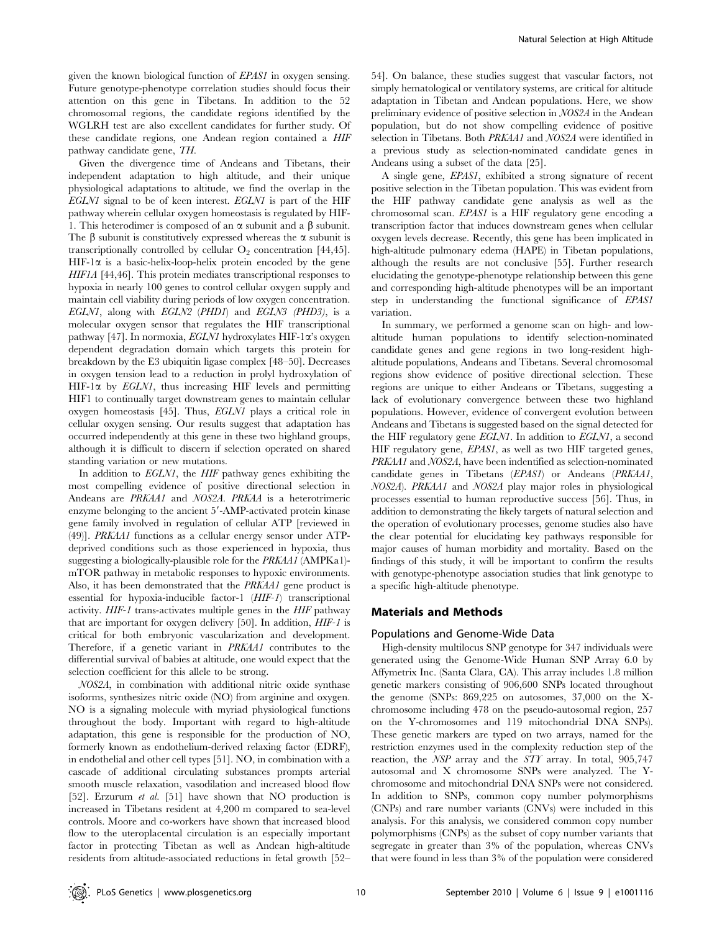given the known biological function of EPAS1 in oxygen sensing. Future genotype-phenotype correlation studies should focus their attention on this gene in Tibetans. In addition to the 52 chromosomal regions, the candidate regions identified by the WGLRH test are also excellent candidates for further study. Of these candidate regions, one Andean region contained a HIF pathway candidate gene, TH.

Given the divergence time of Andeans and Tibetans, their independent adaptation to high altitude, and their unique physiological adaptations to altitude, we find the overlap in the EGLN1 signal to be of keen interest. EGLN1 is part of the HIF pathway wherein cellular oxygen homeostasis is regulated by HIF-1. This heterodimer is composed of an  $\alpha$  subunit and a  $\beta$  subunit. The  $\beta$  subunit is constitutively expressed whereas the  $\alpha$  subunit is transcriptionally controlled by cellular  $O_2$  concentration [44,45].  $HIF-1\alpha$  is a basic-helix-loop-helix protein encoded by the gene HIF1A [44,46]. This protein mediates transcriptional responses to hypoxia in nearly 100 genes to control cellular oxygen supply and maintain cell viability during periods of low oxygen concentration. EGLN1, along with EGLN2 (PHD1) and EGLN3 (PHD3), is a molecular oxygen sensor that regulates the HIF transcriptional pathway [47]. In normoxia,  $EGLNI$  hydroxylates HIF-1 $\alpha$ 's oxygen dependent degradation domain which targets this protein for breakdown by the E3 ubiquitin ligase complex [48–50]. Decreases in oxygen tension lead to a reduction in prolyl hydroxylation of  $HIF-1\alpha$  by *EGLN1*, thus increasing HIF levels and permitting HIF1 to continually target downstream genes to maintain cellular oxygen homeostasis [45]. Thus, EGLN1 plays a critical role in cellular oxygen sensing. Our results suggest that adaptation has occurred independently at this gene in these two highland groups, although it is difficult to discern if selection operated on shared standing variation or new mutations.

In addition to EGLN1, the HIF pathway genes exhibiting the most compelling evidence of positive directional selection in Andeans are PRKAA1 and NOS2A. PRKAA is a heterotrimeric enzyme belonging to the ancient 5'-AMP-activated protein kinase gene family involved in regulation of cellular ATP [reviewed in (49)]. PRKAA1 functions as a cellular energy sensor under ATPdeprived conditions such as those experienced in hypoxia, thus suggesting a biologically-plausible role for the PRKAA1 (AMPKa1) mTOR pathway in metabolic responses to hypoxic environments. Also, it has been demonstrated that the PRKAA1 gene product is essential for hypoxia-inducible factor-1 (HIF-1) transcriptional activity. HIF-1 trans-activates multiple genes in the HIF pathway that are important for oxygen delivery [50]. In addition, HIF-1 is critical for both embryonic vascularization and development. Therefore, if a genetic variant in PRKAA1 contributes to the differential survival of babies at altitude, one would expect that the selection coefficient for this allele to be strong.

NOS2A, in combination with additional nitric oxide synthase isoforms, synthesizes nitric oxide (NO) from arginine and oxygen. NO is a signaling molecule with myriad physiological functions throughout the body. Important with regard to high-altitude adaptation, this gene is responsible for the production of NO, formerly known as endothelium-derived relaxing factor (EDRF), in endothelial and other cell types [51]. NO, in combination with a cascade of additional circulating substances prompts arterial smooth muscle relaxation, vasodilation and increased blood flow [52]. Erzurum et al. [51] have shown that NO production is increased in Tibetans resident at 4,200 m compared to sea-level controls. Moore and co-workers have shown that increased blood flow to the uteroplacental circulation is an especially important factor in protecting Tibetan as well as Andean high-altitude residents from altitude-associated reductions in fetal growth [52–

54]. On balance, these studies suggest that vascular factors, not simply hematological or ventilatory systems, are critical for altitude adaptation in Tibetan and Andean populations. Here, we show preliminary evidence of positive selection in NOS2A in the Andean population, but do not show compelling evidence of positive selection in Tibetans. Both PRKAA1 and NOS2A were identified in a previous study as selection-nominated candidate genes in Andeans using a subset of the data [25].

A single gene, EPAS1, exhibited a strong signature of recent positive selection in the Tibetan population. This was evident from the HIF pathway candidate gene analysis as well as the chromosomal scan. EPAS1 is a HIF regulatory gene encoding a transcription factor that induces downstream genes when cellular oxygen levels decrease. Recently, this gene has been implicated in high-altitude pulmonary edema (HAPE) in Tibetan populations, although the results are not conclusive [55]. Further research elucidating the genotype-phenotype relationship between this gene and corresponding high-altitude phenotypes will be an important step in understanding the functional significance of EPAS1 variation.

In summary, we performed a genome scan on high- and lowaltitude human populations to identify selection-nominated candidate genes and gene regions in two long-resident highaltitude populations, Andeans and Tibetans. Several chromosomal regions show evidence of positive directional selection. These regions are unique to either Andeans or Tibetans, suggesting a lack of evolutionary convergence between these two highland populations. However, evidence of convergent evolution between Andeans and Tibetans is suggested based on the signal detected for the HIF regulatory gene EGLN1. In addition to EGLN1, a second HIF regulatory gene, EPAS1, as well as two HIF targeted genes, PRKAA1 and NOS2A, have been indentified as selection-nominated candidate genes in Tibetans (EPAS1) or Andeans (PRKAA1, NOS2A). PRKAA1 and NOS2A play major roles in physiological processes essential to human reproductive success [56]. Thus, in addition to demonstrating the likely targets of natural selection and the operation of evolutionary processes, genome studies also have the clear potential for elucidating key pathways responsible for major causes of human morbidity and mortality. Based on the findings of this study, it will be important to confirm the results with genotype-phenotype association studies that link genotype to a specific high-altitude phenotype.

## Materials and Methods

#### Populations and Genome-Wide Data

High-density multilocus SNP genotype for 347 individuals were generated using the Genome-Wide Human SNP Array 6.0 by Affymetrix Inc. (Santa Clara, CA). This array includes 1.8 million genetic markers consisting of 906,600 SNPs located throughout the genome (SNPs: 869,225 on autosomes, 37,000 on the Xchromosome including 478 on the pseudo-autosomal region, 257 on the Y-chromosomes and 119 mitochondrial DNA SNPs). These genetic markers are typed on two arrays, named for the restriction enzymes used in the complexity reduction step of the reaction, the NSP array and the STY array. In total, 905,747 autosomal and X chromosome SNPs were analyzed. The Ychromosome and mitochondrial DNA SNPs were not considered. In addition to SNPs, common copy number polymorphisms (CNPs) and rare number variants (CNVs) were included in this analysis. For this analysis, we considered common copy number polymorphisms (CNPs) as the subset of copy number variants that segregate in greater than 3% of the population, whereas CNVs that were found in less than 3% of the population were considered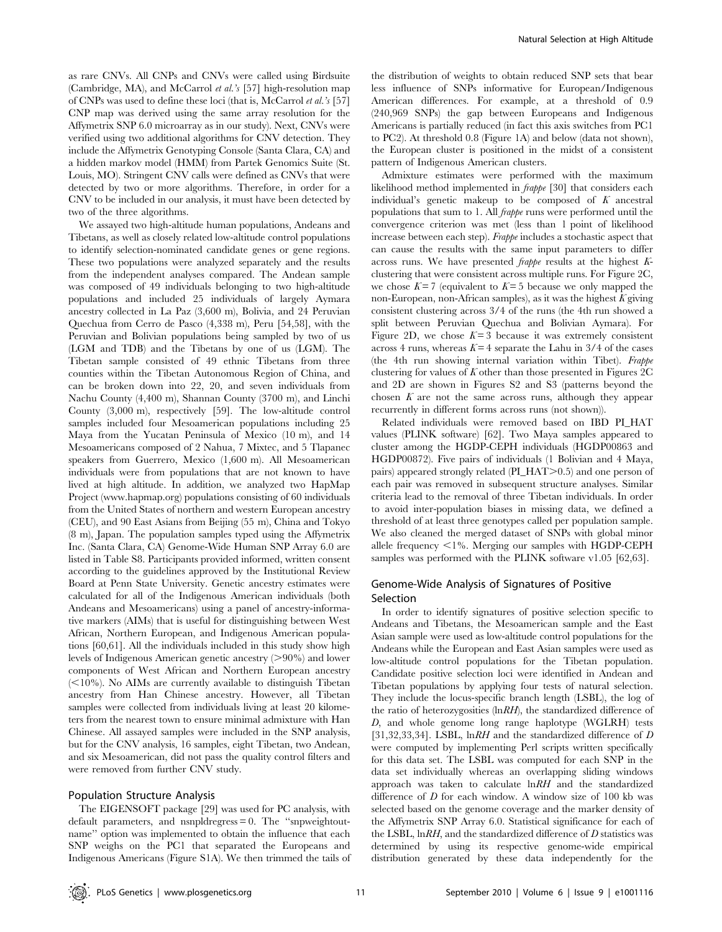as rare CNVs. All CNPs and CNVs were called using Birdsuite (Cambridge, MA), and McCarrol et al.'s [57] high-resolution map of CNPs was used to define these loci (that is, McCarrol et al.'s [57] CNP map was derived using the same array resolution for the Affymetrix SNP 6.0 microarray as in our study). Next, CNVs were verified using two additional algorithms for CNV detection. They include the Affymetrix Genotyping Console (Santa Clara, CA) and a hidden markov model (HMM) from Partek Genomics Suite (St. Louis, MO). Stringent CNV calls were defined as CNVs that were detected by two or more algorithms. Therefore, in order for a CNV to be included in our analysis, it must have been detected by two of the three algorithms.

We assayed two high-altitude human populations, Andeans and Tibetans, as well as closely related low-altitude control populations to identify selection-nominated candidate genes or gene regions. These two populations were analyzed separately and the results from the independent analyses compared. The Andean sample was composed of 49 individuals belonging to two high-altitude populations and included 25 individuals of largely Aymara ancestry collected in La Paz (3,600 m), Bolivia, and 24 Peruvian Quechua from Cerro de Pasco (4,338 m), Peru [54,58], with the Peruvian and Bolivian populations being sampled by two of us (LGM and TDB) and the Tibetans by one of us (LGM). The Tibetan sample consisted of 49 ethnic Tibetans from three counties within the Tibetan Autonomous Region of China, and can be broken down into 22, 20, and seven individuals from Nachu County (4,400 m), Shannan County (3700 m), and Linchi County (3,000 m), respectively [59]. The low-altitude control samples included four Mesoamerican populations including 25 Maya from the Yucatan Peninsula of Mexico (10 m), and 14 Mesoamericans composed of 2 Nahua, 7 Mixtec, and 5 Tlapanec speakers from Guerrero, Mexico (1,600 m). All Mesoamerican individuals were from populations that are not known to have lived at high altitude. In addition, we analyzed two HapMap Project (www.hapmap.org) populations consisting of 60 individuals from the United States of northern and western European ancestry (CEU), and 90 East Asians from Beijing (55 m), China and Tokyo (8 m), Japan. The population samples typed using the Affymetrix Inc. (Santa Clara, CA) Genome-Wide Human SNP Array 6.0 are listed in Table S8. Participants provided informed, written consent according to the guidelines approved by the Institutional Review Board at Penn State University. Genetic ancestry estimates were calculated for all of the Indigenous American individuals (both Andeans and Mesoamericans) using a panel of ancestry-informative markers (AIMs) that is useful for distinguishing between West African, Northern European, and Indigenous American populations [60,61]. All the individuals included in this study show high levels of Indigenous American genetic ancestry  $(>90\%)$  and lower components of West African and Northern European ancestry  $(<10\%)$ . No AIMs are currently available to distinguish Tibetan ancestry from Han Chinese ancestry. However, all Tibetan samples were collected from individuals living at least 20 kilometers from the nearest town to ensure minimal admixture with Han Chinese. All assayed samples were included in the SNP analysis, but for the CNV analysis, 16 samples, eight Tibetan, two Andean, and six Mesoamerican, did not pass the quality control filters and were removed from further CNV study.

## Population Structure Analysis

The EIGENSOFT package [29] was used for PC analysis, with default parameters, and nsnpldregress = 0. The ''snpweightoutname'' option was implemented to obtain the influence that each SNP weighs on the PC1 that separated the Europeans and Indigenous Americans (Figure S1A). We then trimmed the tails of the distribution of weights to obtain reduced SNP sets that bear less influence of SNPs informative for European/Indigenous American differences. For example, at a threshold of 0.9 (240,969 SNPs) the gap between Europeans and Indigenous Americans is partially reduced (in fact this axis switches from PC1 to PC2). At threshold 0.8 (Figure 1A) and below (data not shown), the European cluster is positioned in the midst of a consistent pattern of Indigenous American clusters.

Admixture estimates were performed with the maximum likelihood method implemented in frappe [30] that considers each individual's genetic makeup to be composed of  $K$  ancestral populations that sum to 1. All frappe runs were performed until the convergence criterion was met (less than 1 point of likelihood increase between each step). Frappe includes a stochastic aspect that can cause the results with the same input parameters to differ across runs. We have presented frappe results at the highest Kclustering that were consistent across multiple runs. For Figure 2C, we chose  $K=7$  (equivalent to  $K=5$  because we only mapped the non-European, non-African samples), as it was the highest  $K$  giving consistent clustering across 3/4 of the runs (the 4th run showed a split between Peruvian Quechua and Bolivian Aymara). For Figure 2D, we chose  $K = 3$  because it was extremely consistent across 4 runs, whereas  $K=4$  separate the Lahu in 3/4 of the cases (the 4th run showing internal variation within Tibet). Frappe clustering for values of  $K$  other than those presented in Figures 2C and 2D are shown in Figures S2 and S3 (patterns beyond the chosen  $K$  are not the same across runs, although they appear recurrently in different forms across runs (not shown)).

Related individuals were removed based on IBD PI\_HAT values (PLINK software) [62]. Two Maya samples appeared to cluster among the HGDP-CEPH individuals (HGDP00863 and HGDP00872). Five pairs of individuals (1 Bolivian and 4 Maya, pairs) appeared strongly related ( $PI\_HAT>0.5$ ) and one person of each pair was removed in subsequent structure analyses. Similar criteria lead to the removal of three Tibetan individuals. In order to avoid inter-population biases in missing data, we defined a threshold of at least three genotypes called per population sample. We also cleaned the merged dataset of SNPs with global minor allele frequency  $\leq$ 1%. Merging our samples with HGDP-CEPH samples was performed with the PLINK software v1.05 [62,63].

# Genome-Wide Analysis of Signatures of Positive Selection

In order to identify signatures of positive selection specific to Andeans and Tibetans, the Mesoamerican sample and the East Asian sample were used as low-altitude control populations for the Andeans while the European and East Asian samples were used as low-altitude control populations for the Tibetan population. Candidate positive selection loci were identified in Andean and Tibetan populations by applying four tests of natural selection. They include the locus-specific branch length (LSBL), the log of the ratio of heterozygosities  $\langle \ln RH \rangle$ , the standardized difference of D, and whole genome long range haplotype (WGLRH) tests [31,32,33,34]. LSBL, ln $RH$  and the standardized difference of D were computed by implementing Perl scripts written specifically for this data set. The LSBL was computed for each SNP in the data set individually whereas an overlapping sliding windows approach was taken to calculate lnRH and the standardized difference of  $D$  for each window. A window size of 100 kb was selected based on the genome coverage and the marker density of the Affymetrix SNP Array 6.0. Statistical significance for each of the LSBL,  $\ln RH$ , and the standardized difference of D statistics was determined by using its respective genome-wide empirical distribution generated by these data independently for the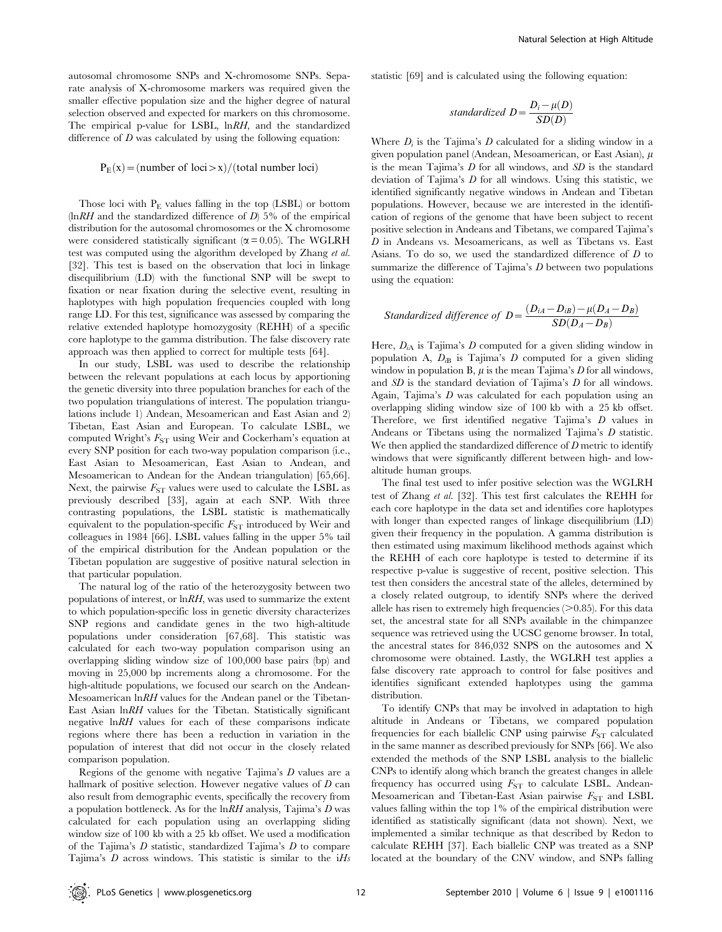autosomal chromosome SNPs and X-chromosome SNPs. Separate analysis of X-chromosome markers was required given the smaller effective population size and the higher degree of natural selection observed and expected for markers on this chromosome. The empirical p-value for LSBL, lnRH, and the standardized difference of  $D$  was calculated by using the following equation:

#### $P_E(x) = (number of loci > x) / (total number loci)$

Those loci with  $P_{\rm E}$  values falling in the top (LSBL) or bottom  $\ln RH$  and the standardized difference of D) 5% of the empirical distribution for the autosomal chromosomes or the X chromosome were considered statistically significant ( $\alpha$  = 0.05). The WGLRH test was computed using the algorithm developed by Zhang et al. [32]. This test is based on the observation that loci in linkage disequilibrium (LD) with the functional SNP will be swept to fixation or near fixation during the selective event, resulting in haplotypes with high population frequencies coupled with long range LD. For this test, significance was assessed by comparing the relative extended haplotype homozygosity (REHH) of a specific core haplotype to the gamma distribution. The false discovery rate approach was then applied to correct for multiple tests [64].

In our study, LSBL was used to describe the relationship between the relevant populations at each locus by apportioning the genetic diversity into three population branches for each of the two population triangulations of interest. The population triangulations include 1) Andean, Mesoamerican and East Asian and 2) Tibetan, East Asian and European. To calculate LSBL, we computed Wright's  $F_{ST}$  using Weir and Cockerham's equation at every SNP position for each two-way population comparison (i.e., East Asian to Mesoamerican, East Asian to Andean, and Mesoamerican to Andean for the Andean triangulation) [65,66]. Next, the pairwise  $F_{ST}$  values were used to calculate the LSBL as previously described [33], again at each SNP. With three contrasting populations, the LSBL statistic is mathematically equivalent to the population-specific  $F_{ST}$  introduced by Weir and colleagues in 1984 [66]. LSBL values falling in the upper 5% tail of the empirical distribution for the Andean population or the Tibetan population are suggestive of positive natural selection in that particular population.

The natural log of the ratio of the heterozygosity between two populations of interest, or lnRH, was used to summarize the extent to which population-specific loss in genetic diversity characterizes SNP regions and candidate genes in the two high-altitude populations under consideration [67,68]. This statistic was calculated for each two-way population comparison using an overlapping sliding window size of 100,000 base pairs (bp) and moving in 25,000 bp increments along a chromosome. For the high-altitude populations, we focused our search on the Andean-Mesoamerican lnRH values for the Andean panel or the Tibetan-East Asian lnRH values for the Tibetan. Statistically significant negative lnRH values for each of these comparisons indicate regions where there has been a reduction in variation in the population of interest that did not occur in the closely related comparison population.

Regions of the genome with negative Tajima's D values are a hallmark of positive selection. However negative values of  $D$  can also result from demographic events, specifically the recovery from a population bottleneck. As for the  $ln RH$  analysis, Tajima's  $D$  was calculated for each population using an overlapping sliding window size of 100 kb with a 25 kb offset. We used a modification of the Tajima's  $D$  statistic, standardized Tajima's  $D$  to compare Tajima's  $D$  across windows. This statistic is similar to the i $Hs$ 

statistic [69] and is calculated using the following equation:

$$
standardized D = \frac{D_i - \mu(D)}{SD(D)}
$$

Where  $D_i$  is the Tajima's D calculated for a sliding window in a given population panel (Andean, Mesoamerican, or East Asian),  $\mu$ is the mean Tajima's  $D$  for all windows, and  $SD$  is the standard deviation of Tajima's D for all windows. Using this statistic, we identified significantly negative windows in Andean and Tibetan populations. However, because we are interested in the identification of regions of the genome that have been subject to recent positive selection in Andeans and Tibetans, we compared Tajima's D in Andeans vs. Mesoamericans, as well as Tibetans vs. East Asians. To do so, we used the standardized difference of D to summarize the difference of Tajima's  $D$  between two populations using the equation:

Standardized difference of 
$$
D = \frac{(D_{iA} - D_{iB}) - \mu(D_A - D_B)}{SD(D_A - D_B)}
$$

Here,  $D_{iA}$  is Tajima's D computed for a given sliding window in population A,  $D_{iB}$  is Tajima's D computed for a given sliding window in population B,  $\mu$  is the mean Tajima's  $D$  for all windows, and SD is the standard deviation of Tajima's D for all windows. Again, Tajima's D was calculated for each population using an overlapping sliding window size of 100 kb with a 25 kb offset. Therefore, we first identified negative Tajima's D values in Andeans or Tibetans using the normalized Tajima's D statistic. We then applied the standardized difference of  $D$  metric to identify windows that were significantly different between high- and lowaltitude human groups.

The final test used to infer positive selection was the WGLRH test of Zhang et al. [32]. This test first calculates the REHH for each core haplotype in the data set and identifies core haplotypes with longer than expected ranges of linkage disequilibrium (LD) given their frequency in the population. A gamma distribution is then estimated using maximum likelihood methods against which the REHH of each core haplotype is tested to determine if its respective p-value is suggestive of recent, positive selection. This test then considers the ancestral state of the alleles, determined by a closely related outgroup, to identify SNPs where the derived allele has risen to extremely high frequencies  $(>0.85)$ . For this data set, the ancestral state for all SNPs available in the chimpanzee sequence was retrieved using the UCSC genome browser. In total, the ancestral states for 846,032 SNPS on the autosomes and X chromosome were obtained. Lastly, the WGLRH test applies a false discovery rate approach to control for false positives and identifies significant extended haplotypes using the gamma distribution.

To identify CNPs that may be involved in adaptation to high altitude in Andeans or Tibetans, we compared population frequencies for each biallelic CNP using pairwise  $F_{ST}$  calculated in the same manner as described previously for SNPs [66]. We also extended the methods of the SNP LSBL analysis to the biallelic CNPs to identify along which branch the greatest changes in allele frequency has occurred using  $F_{ST}$  to calculate LSBL. Andean-Mesoamerican and Tibetan-East Asian pairwise  $F_{ST}$  and LSBL values falling within the top 1% of the empirical distribution were identified as statistically significant (data not shown). Next, we implemented a similar technique as that described by Redon to calculate REHH [37]. Each biallelic CNP was treated as a SNP located at the boundary of the CNV window, and SNPs falling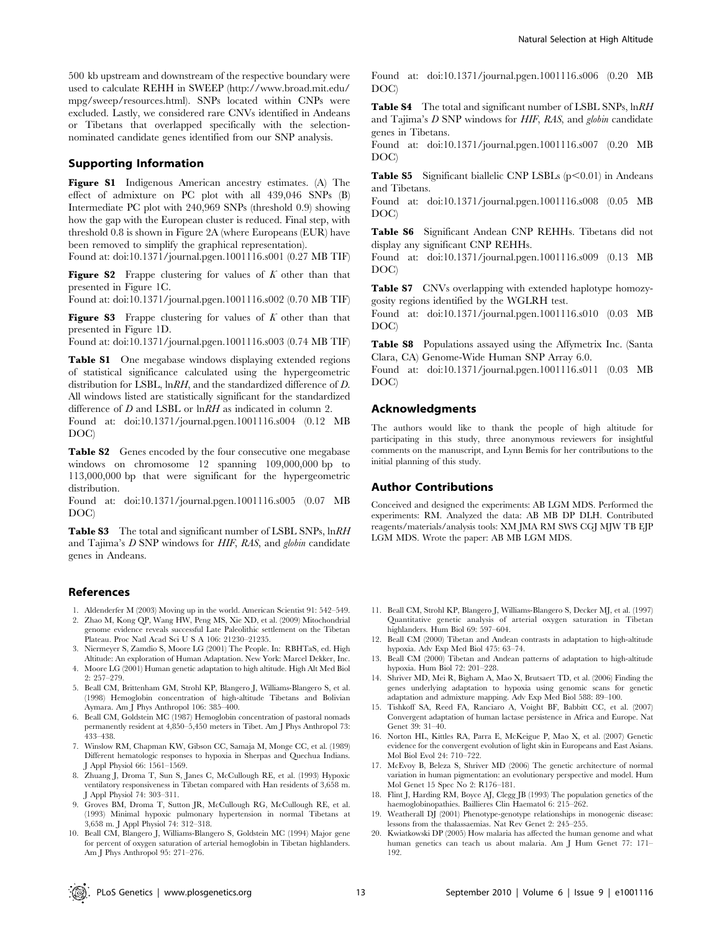500 kb upstream and downstream of the respective boundary were used to calculate REHH in SWEEP (http://www.broad.mit.edu/ mpg/sweep/resources.html). SNPs located within CNPs were excluded. Lastly, we considered rare CNVs identified in Andeans or Tibetans that overlapped specifically with the selectionnominated candidate genes identified from our SNP analysis.

# Supporting Information

Figure S1 Indigenous American ancestry estimates. (A) The effect of admixture on PC plot with all 439,046 SNPs (B) Intermediate PC plot with 240,969 SNPs (threshold 0.9) showing how the gap with the European cluster is reduced. Final step, with threshold 0.8 is shown in Figure 2A (where Europeans (EUR) have been removed to simplify the graphical representation).

Found at: doi:10.1371/journal.pgen.1001116.s001 (0.27 MB TIF)

Figure S2 Frappe clustering for values of  $K$  other than that presented in Figure 1C.

Found at: doi:10.1371/journal.pgen.1001116.s002 (0.70 MB TIF)

**Figure S3** Frappe clustering for values of  $K$  other than that presented in Figure 1D.

Found at: doi:10.1371/journal.pgen.1001116.s003 (0.74 MB TIF)

Table S1 One megabase windows displaying extended regions of statistical significance calculated using the hypergeometric distribution for LSBL, lnRH, and the standardized difference of D. All windows listed are statistically significant for the standardized difference of D and LSBL or  $lnRH$  as indicated in column 2.

Found at: doi:10.1371/journal.pgen.1001116.s004 (0.12 MB DOC)

Table S2 Genes encoded by the four consecutive one megabase windows on chromosome 12 spanning 109,000,000 bp to 113,000,000 bp that were significant for the hypergeometric distribution.

Found at: doi:10.1371/journal.pgen.1001116.s005 (0.07 MB DOC)

Table S3 The total and significant number of LSBL SNPs,  $lnRH$ and Tajima's D SNP windows for HIF, RAS, and globin candidate genes in Andeans.

#### References

- 1. Aldenderfer M (2003) Moving up in the world. American Scientist 91: 542–549.
- 2. Zhao M, Kong QP, Wang HW, Peng MS, Xie XD, et al. (2009) Mitochondrial genome evidence reveals successful Late Paleolithic settlement on the Tibetan Plateau. Proc Natl Acad Sci U S A 106: 21230–21235.
- 3. Niermeyer S, Zamdio S, Moore LG (2001) The People. In: RBHTaS, ed. High Altitude: An exploration of Human Adaptation. New York: Marcel Dekker, Inc.
- 4. Moore LG (2001) Human genetic adaptation to high altitude. High Alt Med Biol 2: 257–279.
- 5. Beall CM, Brittenham GM, Strohl KP, Blangero J, Williams-Blangero S, et al. (1998) Hemoglobin concentration of high-altitude Tibetans and Bolivian Aymara. Am J Phys Anthropol 106: 385–400.
- 6. Beall CM, Goldstein MC (1987) Hemoglobin concentration of pastoral nomads permanently resident at 4,850–5,450 meters in Tibet. Am J Phys Anthropol 73: 433–438.
- 7. Winslow RM, Chapman KW, Gibson CC, Samaja M, Monge CC, et al. (1989) Different hematologic responses to hypoxia in Sherpas and Quechua Indians. J Appl Physiol 66: 1561–1569.
- 8. Zhuang J, Droma T, Sun S, Janes C, McCullough RE, et al. (1993) Hypoxic ventilatory responsiveness in Tibetan compared with Han residents of 3,658 m. J Appl Physiol 74: 303–311.
- 9. Groves BM, Droma T, Sutton JR, McCullough RG, McCullough RE, et al. (1993) Minimal hypoxic pulmonary hypertension in normal Tibetans at 3,658 m. J Appl Physiol 74: 312–318.
- 10. Beall CM, Blangero J, Williams-Blangero S, Goldstein MC (1994) Major gene for percent of oxygen saturation of arterial hemoglobin in Tibetan highlanders. Am J Phys Anthropol 95: 271–276.

Found at: doi:10.1371/journal.pgen.1001116.s006 (0.20 MB DOC)

Table S4 The total and significant number of LSBL SNPs,  $lnRH$ and Tajima's D SNP windows for HIF, RAS, and globin candidate genes in Tibetans.

Found at: doi:10.1371/journal.pgen.1001116.s007 (0.20 MB DOC)

**Table S5** Significant biallelic CNP LSBLs  $(p<0.01)$  in Andeans and Tibetans.

Found at: doi:10.1371/journal.pgen.1001116.s008 (0.05 MB DOC)

Table S6 Significant Andean CNP REHHs. Tibetans did not display any significant CNP REHHs.

Found at: doi:10.1371/journal.pgen.1001116.s009 (0.13 MB DOC)

Table S7 CNVs overlapping with extended haplotype homozygosity regions identified by the WGLRH test.

Found at: doi:10.1371/journal.pgen.1001116.s010 (0.03 MB DOC)

Table S8 Populations assayed using the Affymetrix Inc. (Santa Clara, CA) Genome-Wide Human SNP Array 6.0.

Found at: doi:10.1371/journal.pgen.1001116.s011 (0.03 MB DOC)

#### Acknowledgments

The authors would like to thank the people of high altitude for participating in this study, three anonymous reviewers for insightful comments on the manuscript, and Lynn Bemis for her contributions to the initial planning of this study.

## Author Contributions

Conceived and designed the experiments: AB LGM MDS. Performed the experiments: RM. Analyzed the data: AB MB DP DLH. Contributed reagents/materials/analysis tools: XM JMA RM SWS CGJ MJW TB EJP LGM MDS. Wrote the paper: AB MB LGM MDS.

- 11. Beall CM, Strohl KP, Blangero J, Williams-Blangero S, Decker MJ, et al. (1997) Quantitative genetic analysis of arterial oxygen saturation in Tibetan highlanders. Hum Biol 69: 597–604.
- 12. Beall CM (2000) Tibetan and Andean contrasts in adaptation to high-altitude hypoxia. Adv Exp Med Biol 475: 63–74.
- 13. Beall CM (2000) Tibetan and Andean patterns of adaptation to high-altitude hypoxia. Hum Biol 72: 201–228.
- 14. Shriver MD, Mei R, Bigham A, Mao X, Brutsaert TD, et al. (2006) Finding the genes underlying adaptation to hypoxia using genomic scans for genetic adaptation and admixture mapping. Adv Exp Med Biol 588: 89–100.
- 15. Tishkoff SA, Reed FA, Ranciaro A, Voight BF, Babbitt CC, et al. (2007) Convergent adaptation of human lactase persistence in Africa and Europe. Nat Genet 39: 31–40.
- 16. Norton HL, Kittles RA, Parra E, McKeigue P, Mao X, et al. (2007) Genetic evidence for the convergent evolution of light skin in Europeans and East Asians. Mol Biol Evol 24: 710–722.
- 17. McEvoy B, Beleza S, Shriver MD (2006) The genetic architecture of normal variation in human pigmentation: an evolutionary perspective and model. Hum Mol Genet 15 Spec No 2: R176–181.
- 18. Flint J, Harding RM, Boyce AJ, Clegg JB (1993) The population genetics of the haemoglobinopathies. Baillieres Clin Haematol 6: 215–262.
- 19. Weatherall DJ (2001) Phenotype-genotype relationships in monogenic disease: lessons from the thalassaemias. Nat Rev Genet 2: 245–255.
- 20. Kwiatkowski DP (2005) How malaria has affected the human genome and what human genetics can teach us about malaria. Am J Hum Genet 77: 171– 192.